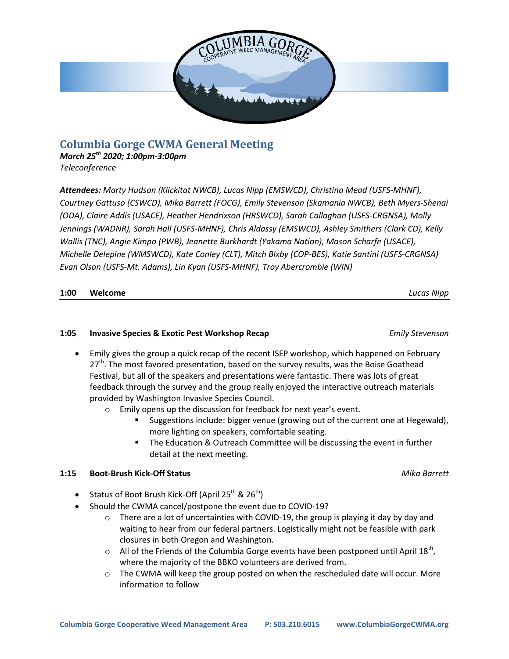

# **Columbia Gorge CWMA General Meeting**

*March 25th 2020; 1:00pm-3:00pm Teleconference*

*Attendees: Marty Hudson (Klickitat NWCB), Lucas Nipp (EMSWCD), Christina Mead (USFS-MHNF), Courtney Gattuso (CSWCD), Mika Barrett (FOCG), Emily Stevenson (Skamania NWCB), Beth Myers-Shenai (ODA), Claire Addis (USACE), Heather Hendrixson (HRSWCD), Sarah Callaghan (USFS-CRGNSA), Molly Jennings (WADNR), Sarah Hall (USFS-MHNF), Chris Aldassy (EMSWCD), Ashley Smithers (Clark CD), Kelly Wallis (TNC), Angie Kimpo (PWB), Jeanette Burkhardt (Yakama Nation), Mason Scharfe (USACE), Michelle Delepine (WMSWCD), Kate Conley (CLT), Mitch Bixby (COP-BES), Katie Santini (USFS-CRGNSA) Evan Olson (USFS-Mt. Adams), Lin Kyan (USFS-MHNF), Troy Abercrombie (WIN)*

### **1:00 Welcome** *Lucas Nipp*

## **1:05 Invasive Species & Exotic Pest Workshop Recap** *Emily Stevenson*

- Emily gives the group a quick recap of the recent ISEP workshop, which happened on February 27<sup>th</sup>. The most favored presentation, based on the survey results, was the Boise Goathead Festival, but all of the speakers and presentations were fantastic. There was lots of great feedback through the survey and the group really enjoyed the interactive outreach materials provided by Washington Invasive Species Council.
	- o Emily opens up the discussion for feedback for next year's event.
		- Suggestions include: bigger venue (growing out of the current one at Hegewald), more lighting on speakers, comfortable seating.
		- The Education & Outreach Committee will be discussing the event in further detail at the next meeting.

# **1:15 Boot-Brush Kick-Off Status** *Mika Barrett* **Alliance Allen Alliance Alliance Alliance Alliance Alliance Alliance Alliance Alliance Alliance Alliance Alliance Alliance Alliance Alliance Alliance Alliance Alliance Al**

- Status of Boot Brush Kick-Off (April 25<sup>th</sup> & 26<sup>th</sup>)
	- Should the CWMA cancel/postpone the event due to COVID-19?
		- o There are a lot of uncertainties with COVID-19, the group is playing it day by day and waiting to hear from our federal partners. Logistically might not be feasible with park closures in both Oregon and Washington.
		- $\circ$  All of the Friends of the Columbia Gorge events have been postponed until April 18<sup>th</sup>, where the majority of the BBKO volunteers are derived from.
		- $\circ$  The CWMA will keep the group posted on when the rescheduled date will occur. More information to follow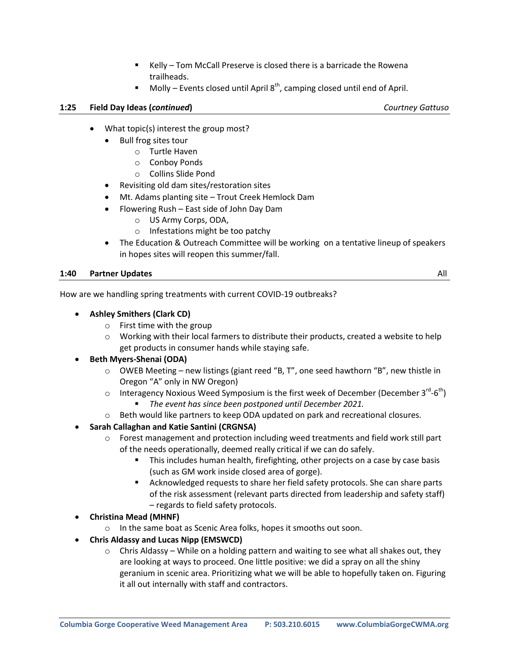- Kelly Tom McCall Preserve is closed there is a barricade the Rowena trailheads.
- Molly Events closed until April  $8<sup>th</sup>$ , camping closed until end of April.

## **1:25 Field Day Ideas (***continued***)** *Courtney Gattuso*

- What topic(s) interest the group most?
	- Bull frog sites tour
		- o Turtle Haven
		- o Conboy Ponds
		- o Collins Slide Pond
	- Revisiting old dam sites/restoration sites
	- Mt. Adams planting site Trout Creek Hemlock Dam
	- Flowering Rush East side of John Day Dam
		- o US Army Corps, ODA,
		- o Infestations might be too patchy
	- The Education & Outreach Committee will be working on a tentative lineup of speakers in hopes sites will reopen this summer/fall.

### **1:40 Partner Updates** All

### How are we handling spring treatments with current COVID-19 outbreaks?

- **Ashley Smithers (Clark CD)**
	- o First time with the group
	- o Working with their local farmers to distribute their products, created a website to help get products in consumer hands while staying safe.

### **Beth Myers-Shenai (ODA)**

- o OWEB Meeting new listings (giant reed "B, T", one seed hawthorn "B", new thistle in Oregon "A" only in NW Oregon)
- $\circ$  Interagency Noxious Weed Symposium is the first week of December (December 3<sup>rd</sup>-6<sup>th</sup>) *The event has since been postponed until December 2021.*
- o Beth would like partners to keep ODA updated on park and recreational closures.
- **Sarah Callaghan and Katie Santini (CRGNSA)**
	- o Forest management and protection including weed treatments and field work still part of the needs operationally, deemed really critical if we can do safely.
		- This includes human health, firefighting, other projects on a case by case basis (such as GM work inside closed area of gorge).
		- Acknowledged requests to share her field safety protocols. She can share parts of the risk assessment (relevant parts directed from leadership and safety staff) – regards to field safety protocols.
- **Christina Mead (MHNF)**
	- o In the same boat as Scenic Area folks, hopes it smooths out soon.
- **Chris Aldassy and Lucas Nipp (EMSWCD)**
	- $\circ$  Chris Aldassy While on a holding pattern and waiting to see what all shakes out, they are looking at ways to proceed. One little positive: we did a spray on all the shiny geranium in scenic area. Prioritizing what we will be able to hopefully taken on. Figuring it all out internally with staff and contractors.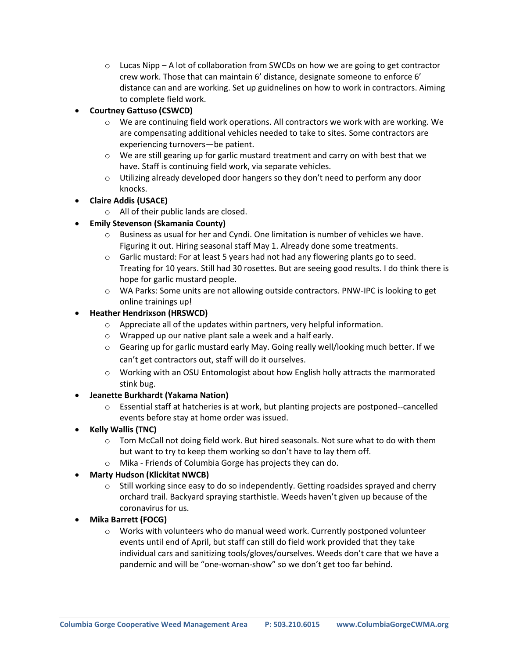$\circ$  Lucas Nipp – A lot of collaboration from SWCDs on how we are going to get contractor crew work. Those that can maintain 6' distance, designate someone to enforce 6' distance can and are working. Set up guidnelines on how to work in contractors. Aiming to complete field work.

# **Courtney Gattuso (CSWCD)**

- $\circ$  We are continuing field work operations. All contractors we work with are working. We are compensating additional vehicles needed to take to sites. Some contractors are experiencing turnovers—be patient.
- $\circ$  We are still gearing up for garlic mustard treatment and carry on with best that we have. Staff is continuing field work, via separate vehicles.
- $\circ$  Utilizing already developed door hangers so they don't need to perform any door knocks.
- **Claire Addis (USACE)**
	- o All of their public lands are closed.
- **Emily Stevenson (Skamania County)**
	- $\circ$  Business as usual for her and Cyndi. One limitation is number of vehicles we have. Figuring it out. Hiring seasonal staff May 1. Already done some treatments.
	- $\circ$  Garlic mustard: For at least 5 years had not had any flowering plants go to seed. Treating for 10 years. Still had 30 rosettes. But are seeing good results. I do think there is hope for garlic mustard people.
	- o WA Parks: Some units are not allowing outside contractors. PNW-IPC is looking to get online trainings up!

# **Heather Hendrixson (HRSWCD)**

- o Appreciate all of the updates within partners, very helpful information.
- o Wrapped up our native plant sale a week and a half early.
- $\circ$  Gearing up for garlic mustard early May. Going really well/looking much better. If we can't get contractors out, staff will do it ourselves.
- $\circ$  Working with an OSU Entomologist about how English holly attracts the marmorated stink bug.

# **Jeanette Burkhardt (Yakama Nation)**

- o Essential staff at hatcheries is at work, but planting projects are postponed--cancelled events before stay at home order was issued.
- **Kelly Wallis (TNC)**
	- $\circ$  Tom McCall not doing field work. But hired seasonals. Not sure what to do with them but want to try to keep them working so don't have to lay them off.
	- o Mika Friends of Columbia Gorge has projects they can do.

# **Marty Hudson (Klickitat NWCB)**

- $\circ$  Still working since easy to do so independently. Getting roadsides sprayed and cherry orchard trail. Backyard spraying starthistle. Weeds haven't given up because of the coronavirus for us.
- **Mika Barrett (FOCG)**
	- o Works with volunteers who do manual weed work. Currently postponed volunteer events until end of April, but staff can still do field work provided that they take individual cars and sanitizing tools/gloves/ourselves. Weeds don't care that we have a pandemic and will be "one-woman-show" so we don't get too far behind.